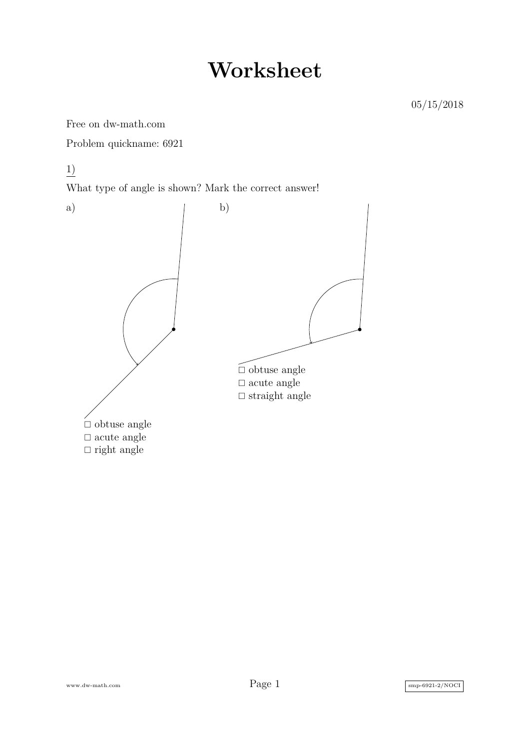## **Worksheet**

Free on dw-math.com

Problem quickname: 6921

1)

What type of angle is shown? Mark the correct answer!



www.dw-math.com  $Page\ 1$  smp-6921-2/NOCI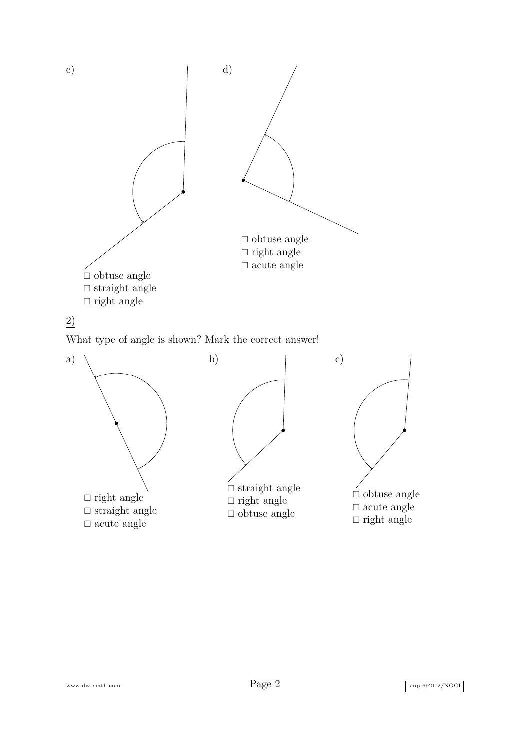

## 2)

What type of angle is shown? Mark the correct answer!

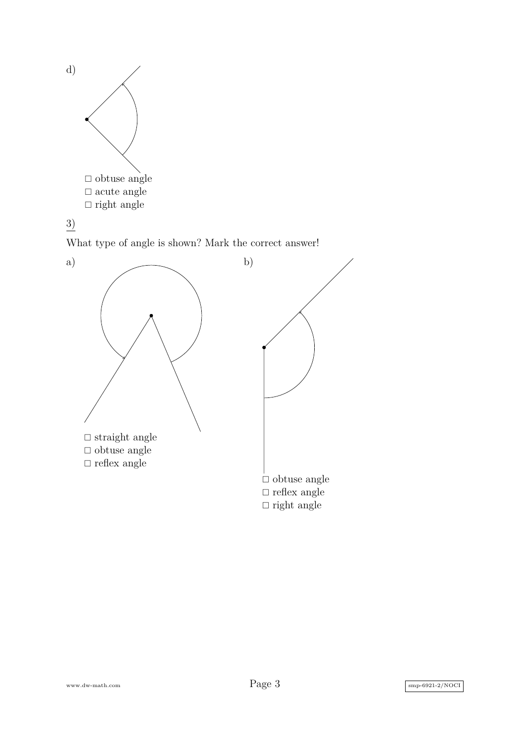



What type of angle is shown? Mark the correct answer!



www.dw-math.com  $Page\ 3$  smp-6921-2/NOCI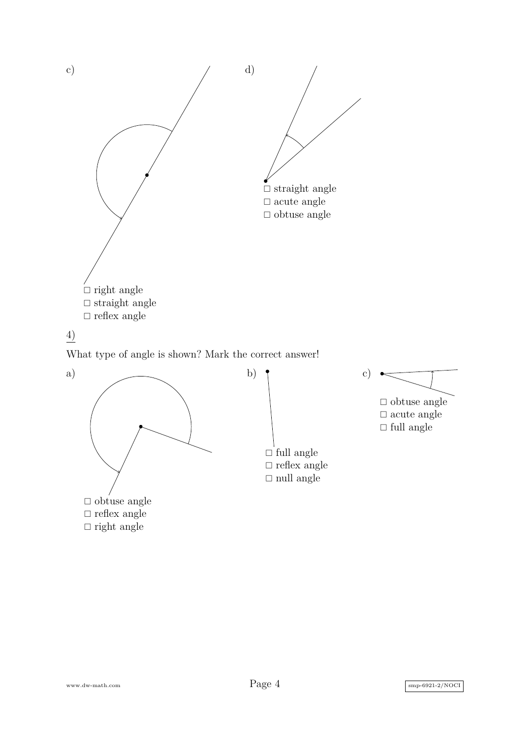

## 4)

What type of angle is shown? Mark the correct answer!





 $\Box$ <br/>obtuse angle  $\Box$  acute angle  $\Box$  full angle